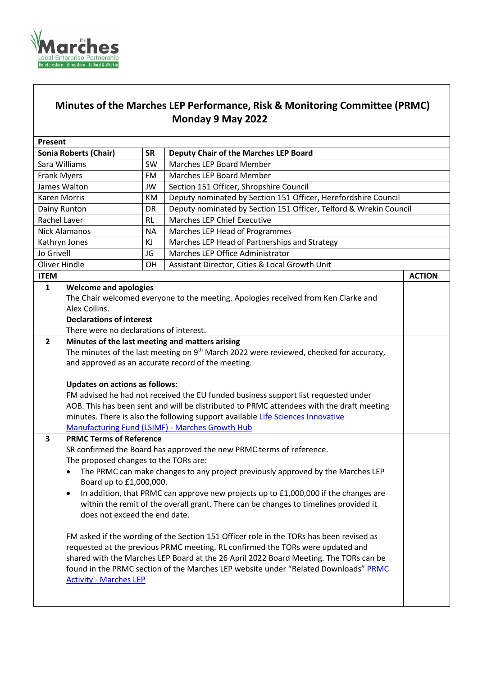

## **Minutes of the Marches LEP Performance, Risk & Monitoring Committee (PRMC) Monday 9 May 2022**

| Present            |                                                                                                                                                                         |           |                                                                                                    |               |
|--------------------|-------------------------------------------------------------------------------------------------------------------------------------------------------------------------|-----------|----------------------------------------------------------------------------------------------------|---------------|
|                    | <b>Sonia Roberts (Chair)</b>                                                                                                                                            | <b>SR</b> | Deputy Chair of the Marches LEP Board                                                              |               |
| Sara Williams      |                                                                                                                                                                         | <b>SW</b> | Marches LEP Board Member                                                                           |               |
| <b>Frank Myers</b> |                                                                                                                                                                         | <b>FM</b> | Marches LEP Board Member                                                                           |               |
|                    | James Walton                                                                                                                                                            | JW        | Section 151 Officer, Shropshire Council                                                            |               |
| Karen Morris       |                                                                                                                                                                         | КM        | Deputy nominated by Section 151 Officer, Herefordshire Council                                     |               |
| Dainy Runton       |                                                                                                                                                                         | DR        | Deputy nominated by Section 151 Officer, Telford & Wrekin Council                                  |               |
| Rachel Laver       |                                                                                                                                                                         | <b>RL</b> | <b>Marches LEP Chief Executive</b>                                                                 |               |
| Nick Alamanos      |                                                                                                                                                                         | <b>NA</b> | Marches LEP Head of Programmes                                                                     |               |
|                    | Kathryn Jones                                                                                                                                                           | KJ        | Marches LEP Head of Partnerships and Strategy                                                      |               |
| Jo Grivell         |                                                                                                                                                                         | JG        | Marches LEP Office Administrator                                                                   |               |
| Oliver Hindle      |                                                                                                                                                                         | <b>OH</b> | Assistant Director, Cities & Local Growth Unit                                                     |               |
| <b>ITEM</b>        |                                                                                                                                                                         |           |                                                                                                    | <b>ACTION</b> |
| $\mathbf{1}$       | <b>Welcome and apologies</b>                                                                                                                                            |           |                                                                                                    |               |
|                    |                                                                                                                                                                         |           | The Chair welcomed everyone to the meeting. Apologies received from Ken Clarke and                 |               |
|                    | Alex Collins.                                                                                                                                                           |           |                                                                                                    |               |
|                    | <b>Declarations of interest</b>                                                                                                                                         |           |                                                                                                    |               |
|                    | There were no declarations of interest.                                                                                                                                 |           |                                                                                                    |               |
| $\mathbf{2}$       |                                                                                                                                                                         |           | Minutes of the last meeting and matters arising                                                    |               |
|                    |                                                                                                                                                                         |           | The minutes of the last meeting on 9 <sup>th</sup> March 2022 were reviewed, checked for accuracy, |               |
|                    |                                                                                                                                                                         |           | and approved as an accurate record of the meeting.                                                 |               |
|                    |                                                                                                                                                                         |           |                                                                                                    |               |
|                    | <b>Updates on actions as follows:</b>                                                                                                                                   |           |                                                                                                    |               |
|                    | FM advised he had not received the EU funded business support list requested under                                                                                      |           |                                                                                                    |               |
|                    |                                                                                                                                                                         |           | AOB. This has been sent and will be distributed to PRMC attendees with the draft meeting           |               |
|                    |                                                                                                                                                                         |           | minutes. There is also the following support available Life Sciences Innovative                    |               |
|                    |                                                                                                                                                                         |           | <b>Manufacturing Fund (LSIMF) - Marches Growth Hub</b>                                             |               |
| 3                  | <b>PRMC Terms of Reference</b>                                                                                                                                          |           |                                                                                                    |               |
|                    |                                                                                                                                                                         |           | SR confirmed the Board has approved the new PRMC terms of reference.                               |               |
|                    | The proposed changes to the TORs are:                                                                                                                                   |           |                                                                                                    |               |
|                    | Board up to £1,000,000.                                                                                                                                                 |           | The PRMC can make changes to any project previously approved by the Marches LEP                    |               |
|                    |                                                                                                                                                                         |           |                                                                                                    |               |
|                    |                                                                                                                                                                         |           | In addition, that PRMC can approve new projects up to £1,000,000 if the changes are                |               |
|                    | does not exceed the end date.                                                                                                                                           |           | within the remit of the overall grant. There can be changes to timelines provided it               |               |
|                    |                                                                                                                                                                         |           |                                                                                                    |               |
|                    |                                                                                                                                                                         |           | FM asked if the wording of the Section 151 Officer role in the TORs has been revised as            |               |
|                    |                                                                                                                                                                         |           |                                                                                                    |               |
|                    | requested at the previous PRMC meeting. RL confirmed the TORs were updated and<br>shared with the Marches LEP Board at the 26 April 2022 Board Meeting. The TORs can be |           |                                                                                                    |               |
|                    |                                                                                                                                                                         |           | found in the PRMC section of the Marches LEP website under "Related Downloads" PRMC                |               |
|                    | <b>Activity - Marches LEP</b>                                                                                                                                           |           |                                                                                                    |               |
|                    |                                                                                                                                                                         |           |                                                                                                    |               |
|                    |                                                                                                                                                                         |           |                                                                                                    |               |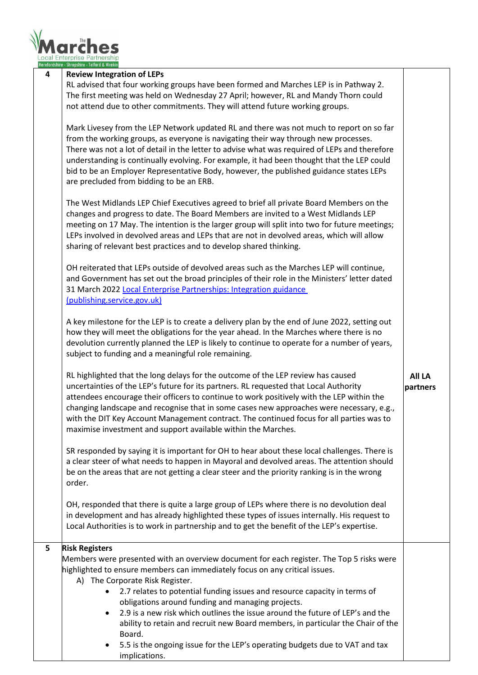

|   | Herefordshire - Shropshire - Telford & Wrekin                                                                                                                                                                                                                                                                                                                                                                                                                                                                                                                                                                                                                                                                                                                                                                                                                                                                                                                                                                                                                                                                                                                                                                                                                                                                                                                                                                                                                                                                                                                                                                                                                                                                                                                                                                                                                                                                                                                                                                                                                                                                                                                                                                                                                                                                                                                                                                                                                                                                                                                                                                                                                                                                                                                                                   |                           |
|---|-------------------------------------------------------------------------------------------------------------------------------------------------------------------------------------------------------------------------------------------------------------------------------------------------------------------------------------------------------------------------------------------------------------------------------------------------------------------------------------------------------------------------------------------------------------------------------------------------------------------------------------------------------------------------------------------------------------------------------------------------------------------------------------------------------------------------------------------------------------------------------------------------------------------------------------------------------------------------------------------------------------------------------------------------------------------------------------------------------------------------------------------------------------------------------------------------------------------------------------------------------------------------------------------------------------------------------------------------------------------------------------------------------------------------------------------------------------------------------------------------------------------------------------------------------------------------------------------------------------------------------------------------------------------------------------------------------------------------------------------------------------------------------------------------------------------------------------------------------------------------------------------------------------------------------------------------------------------------------------------------------------------------------------------------------------------------------------------------------------------------------------------------------------------------------------------------------------------------------------------------------------------------------------------------------------------------------------------------------------------------------------------------------------------------------------------------------------------------------------------------------------------------------------------------------------------------------------------------------------------------------------------------------------------------------------------------------------------------------------------------------------------------------------------------|---------------------------|
| 4 | Local Enterprise Partnership<br><b>Review Integration of LEPs</b><br>RL advised that four working groups have been formed and Marches LEP is in Pathway 2.<br>The first meeting was held on Wednesday 27 April; however, RL and Mandy Thorn could<br>not attend due to other commitments. They will attend future working groups.<br>Mark Livesey from the LEP Network updated RL and there was not much to report on so far<br>from the working groups, as everyone is navigating their way through new processes.<br>There was not a lot of detail in the letter to advise what was required of LEPs and therefore<br>understanding is continually evolving. For example, it had been thought that the LEP could<br>bid to be an Employer Representative Body, however, the published guidance states LEPs<br>are precluded from bidding to be an ERB.<br>The West Midlands LEP Chief Executives agreed to brief all private Board Members on the<br>changes and progress to date. The Board Members are invited to a West Midlands LEP<br>meeting on 17 May. The intention is the larger group will split into two for future meetings;<br>LEPs involved in devolved areas and LEPs that are not in devolved areas, which will allow<br>sharing of relevant best practices and to develop shared thinking.<br>OH reiterated that LEPs outside of devolved areas such as the Marches LEP will continue,<br>and Government has set out the broad principles of their role in the Ministers' letter dated<br>31 March 2022 Local Enterprise Partnerships: Integration guidance<br>(publishing.service.gov.uk)<br>A key milestone for the LEP is to create a delivery plan by the end of June 2022, setting out<br>how they will meet the obligations for the year ahead. In the Marches where there is no<br>devolution currently planned the LEP is likely to continue to operate for a number of years,<br>subject to funding and a meaningful role remaining.<br>RL highlighted that the long delays for the outcome of the LEP review has caused<br>uncertainties of the LEP's future for its partners. RL requested that Local Authority<br>attendees encourage their officers to continue to work positively with the LEP within the<br>changing landscape and recognise that in some cases new approaches were necessary, e.g.,<br>with the DIT Key Account Management contract. The continued focus for all parties was to<br>maximise investment and support available within the Marches.<br>SR responded by saying it is important for OH to hear about these local challenges. There is<br>a clear steer of what needs to happen in Mayoral and devolved areas. The attention should<br>be on the areas that are not getting a clear steer and the priority ranking is in the wrong | <b>All LA</b><br>partners |
|   | order.                                                                                                                                                                                                                                                                                                                                                                                                                                                                                                                                                                                                                                                                                                                                                                                                                                                                                                                                                                                                                                                                                                                                                                                                                                                                                                                                                                                                                                                                                                                                                                                                                                                                                                                                                                                                                                                                                                                                                                                                                                                                                                                                                                                                                                                                                                                                                                                                                                                                                                                                                                                                                                                                                                                                                                                          |                           |
|   | OH, responded that there is quite a large group of LEPs where there is no devolution deal<br>in development and has already highlighted these types of issues internally. His request to<br>Local Authorities is to work in partnership and to get the benefit of the LEP's expertise.                                                                                                                                                                                                                                                                                                                                                                                                                                                                                                                                                                                                                                                                                                                                                                                                                                                                                                                                                                                                                                                                                                                                                                                                                                                                                                                                                                                                                                                                                                                                                                                                                                                                                                                                                                                                                                                                                                                                                                                                                                                                                                                                                                                                                                                                                                                                                                                                                                                                                                          |                           |
| 5 | <b>Risk Registers</b><br>Members were presented with an overview document for each register. The Top 5 risks were<br>highlighted to ensure members can immediately focus on any critical issues.                                                                                                                                                                                                                                                                                                                                                                                                                                                                                                                                                                                                                                                                                                                                                                                                                                                                                                                                                                                                                                                                                                                                                                                                                                                                                                                                                                                                                                                                                                                                                                                                                                                                                                                                                                                                                                                                                                                                                                                                                                                                                                                                                                                                                                                                                                                                                                                                                                                                                                                                                                                                |                           |

- A) The Corporate Risk Register.
	- 2.7 relates to potential funding issues and resource capacity in terms of obligations around funding and managing projects.
	- 2.9 is a new risk which outlines the issue around the future of LEP's and the ability to retain and recruit new Board members, in particular the Chair of the Board.
	- 5.5 is the ongoing issue for the LEP's operating budgets due to VAT and tax implications.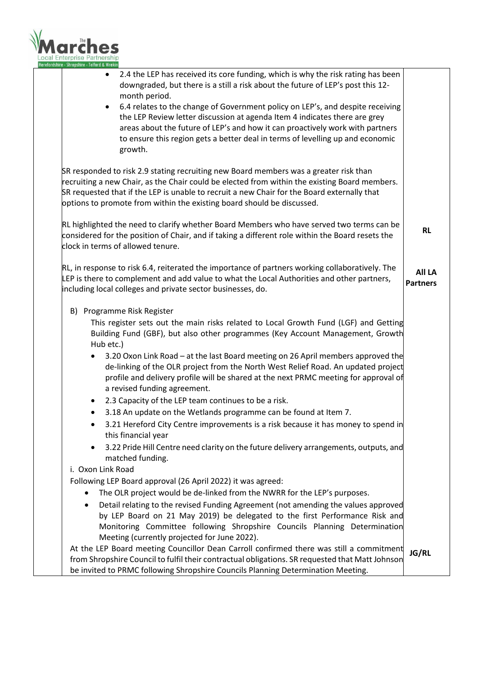

| 2.4 the LEP has received its core funding, which is why the risk rating has been<br>$\bullet$<br>downgraded, but there is a still a risk about the future of LEP's post this 12-<br>month period. |                 |
|---------------------------------------------------------------------------------------------------------------------------------------------------------------------------------------------------|-----------------|
| 6.4 relates to the change of Government policy on LEP's, and despite receiving<br>$\bullet$                                                                                                       |                 |
| the LEP Review letter discussion at agenda Item 4 indicates there are grey<br>areas about the future of LEP's and how it can proactively work with partners                                       |                 |
| to ensure this region gets a better deal in terms of levelling up and economic                                                                                                                    |                 |
| growth.                                                                                                                                                                                           |                 |
| SR responded to risk 2.9 stating recruiting new Board members was a greater risk than                                                                                                             |                 |
| recruiting a new Chair, as the Chair could be elected from within the existing Board members.                                                                                                     |                 |
| SR requested that if the LEP is unable to recruit a new Chair for the Board externally that<br>options to promote from within the existing board should be discussed.                             |                 |
| RL highlighted the need to clarify whether Board Members who have served two terms can be<br>considered for the position of Chair, and if taking a different role within the Board resets the     | <b>RL</b>       |
| clock in terms of allowed tenure.                                                                                                                                                                 |                 |
| RL, in response to risk 6.4, reiterated the importance of partners working collaboratively. The                                                                                                   | <b>All LA</b>   |
| LEP is there to complement and add value to what the Local Authorities and other partners,<br>including local colleges and private sector businesses, do.                                         | <b>Partners</b> |
| B) Programme Risk Register                                                                                                                                                                        |                 |
| This register sets out the main risks related to Local Growth Fund (LGF) and Getting                                                                                                              |                 |
| Building Fund (GBF), but also other programmes (Key Account Management, Growth<br>Hub etc.)                                                                                                       |                 |
| 3.20 Oxon Link Road - at the last Board meeting on 26 April members approved the<br>de-linking of the OLR project from the North West Relief Road. An updated project                             |                 |
| profile and delivery profile will be shared at the next PRMC meeting for approval of                                                                                                              |                 |
| a revised funding agreement.                                                                                                                                                                      |                 |
| 2.3 Capacity of the LEP team continues to be a risk.<br>٠                                                                                                                                         |                 |
| 3.18 An update on the Wetlands programme can be found at Item 7.                                                                                                                                  |                 |
| 3.21 Hereford City Centre improvements is a risk because it has money to spend in<br>this financial year                                                                                          |                 |
| 3.22 Pride Hill Centre need clarity on the future delivery arrangements, outputs, and<br>matched funding.                                                                                         |                 |
| i. Oxon Link Road                                                                                                                                                                                 |                 |
| Following LEP Board approval (26 April 2022) it was agreed:                                                                                                                                       |                 |
| The OLR project would be de-linked from the NWRR for the LEP's purposes.                                                                                                                          |                 |
| Detail relating to the revised Funding Agreement (not amending the values approved<br>٠                                                                                                           |                 |
| by LEP Board on 21 May 2019) be delegated to the first Performance Risk and                                                                                                                       |                 |
| Monitoring Committee following Shropshire Councils Planning Determination<br>Meeting (currently projected for June 2022).                                                                         |                 |
| At the LEP Board meeting Councillor Dean Carroll confirmed there was still a commitment                                                                                                           | <b>JG/RL</b>    |
| from Shropshire Council to fulfil their contractual obligations. SR requested that Matt Johnson<br>be invited to PRMC following Shropshire Councils Planning Determination Meeting.               |                 |
|                                                                                                                                                                                                   |                 |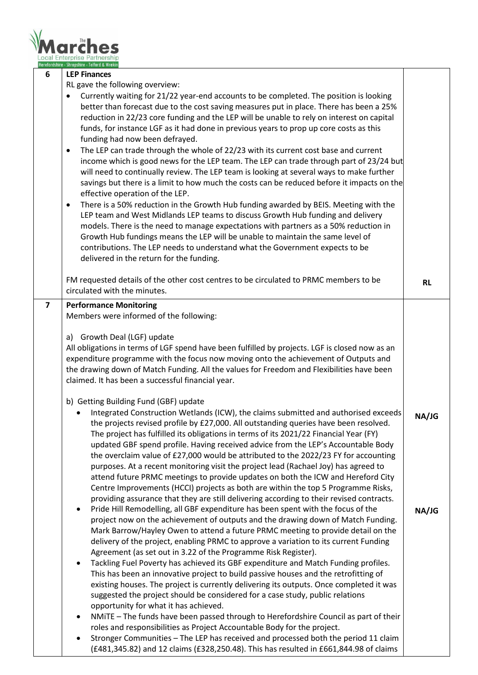

|                         | Herefordshire - Shropshire - Telford & Wrekin                                                                                                                                                                                                                                                                                                                                                                                                                                                                                                                                                                                                                                                                                                                                                                                                                                                                                                                                                                                                                                                                                                                                                                                                                                                                                                                                        |           |
|-------------------------|--------------------------------------------------------------------------------------------------------------------------------------------------------------------------------------------------------------------------------------------------------------------------------------------------------------------------------------------------------------------------------------------------------------------------------------------------------------------------------------------------------------------------------------------------------------------------------------------------------------------------------------------------------------------------------------------------------------------------------------------------------------------------------------------------------------------------------------------------------------------------------------------------------------------------------------------------------------------------------------------------------------------------------------------------------------------------------------------------------------------------------------------------------------------------------------------------------------------------------------------------------------------------------------------------------------------------------------------------------------------------------------|-----------|
| 6                       | <b>LEP Finances</b>                                                                                                                                                                                                                                                                                                                                                                                                                                                                                                                                                                                                                                                                                                                                                                                                                                                                                                                                                                                                                                                                                                                                                                                                                                                                                                                                                                  |           |
|                         | RL gave the following overview:<br>Currently waiting for 21/22 year-end accounts to be completed. The position is looking<br>$\bullet$<br>better than forecast due to the cost saving measures put in place. There has been a 25%<br>reduction in 22/23 core funding and the LEP will be unable to rely on interest on capital<br>funds, for instance LGF as it had done in previous years to prop up core costs as this<br>funding had now been defrayed.<br>The LEP can trade through the whole of 22/23 with its current cost base and current<br>$\bullet$<br>income which is good news for the LEP team. The LEP can trade through part of 23/24 but<br>will need to continually review. The LEP team is looking at several ways to make further<br>savings but there is a limit to how much the costs can be reduced before it impacts on the<br>effective operation of the LEP.<br>There is a 50% reduction in the Growth Hub funding awarded by BEIS. Meeting with the<br>$\bullet$<br>LEP team and West Midlands LEP teams to discuss Growth Hub funding and delivery<br>models. There is the need to manage expectations with partners as a 50% reduction in<br>Growth Hub fundings means the LEP will be unable to maintain the same level of<br>contributions. The LEP needs to understand what the Government expects to be<br>delivered in the return for the funding. |           |
|                         | FM requested details of the other cost centres to be circulated to PRMC members to be<br>circulated with the minutes.                                                                                                                                                                                                                                                                                                                                                                                                                                                                                                                                                                                                                                                                                                                                                                                                                                                                                                                                                                                                                                                                                                                                                                                                                                                                | <b>RL</b> |
| $\overline{\mathbf{z}}$ | <b>Performance Monitoring</b>                                                                                                                                                                                                                                                                                                                                                                                                                                                                                                                                                                                                                                                                                                                                                                                                                                                                                                                                                                                                                                                                                                                                                                                                                                                                                                                                                        |           |
|                         | Members were informed of the following:                                                                                                                                                                                                                                                                                                                                                                                                                                                                                                                                                                                                                                                                                                                                                                                                                                                                                                                                                                                                                                                                                                                                                                                                                                                                                                                                              |           |
|                         | a) Growth Deal (LGF) update                                                                                                                                                                                                                                                                                                                                                                                                                                                                                                                                                                                                                                                                                                                                                                                                                                                                                                                                                                                                                                                                                                                                                                                                                                                                                                                                                          |           |
|                         | All obligations in terms of LGF spend have been fulfilled by projects. LGF is closed now as an                                                                                                                                                                                                                                                                                                                                                                                                                                                                                                                                                                                                                                                                                                                                                                                                                                                                                                                                                                                                                                                                                                                                                                                                                                                                                       |           |
|                         | expenditure programme with the focus now moving onto the achievement of Outputs and<br>the drawing down of Match Funding. All the values for Freedom and Flexibilities have been                                                                                                                                                                                                                                                                                                                                                                                                                                                                                                                                                                                                                                                                                                                                                                                                                                                                                                                                                                                                                                                                                                                                                                                                     |           |
|                         | claimed. It has been a successful financial year.                                                                                                                                                                                                                                                                                                                                                                                                                                                                                                                                                                                                                                                                                                                                                                                                                                                                                                                                                                                                                                                                                                                                                                                                                                                                                                                                    |           |
|                         |                                                                                                                                                                                                                                                                                                                                                                                                                                                                                                                                                                                                                                                                                                                                                                                                                                                                                                                                                                                                                                                                                                                                                                                                                                                                                                                                                                                      |           |
|                         | b) Getting Building Fund (GBF) update                                                                                                                                                                                                                                                                                                                                                                                                                                                                                                                                                                                                                                                                                                                                                                                                                                                                                                                                                                                                                                                                                                                                                                                                                                                                                                                                                |           |
|                         | Integrated Construction Wetlands (ICW), the claims submitted and authorised exceeds<br>the projects revised profile by £27,000. All outstanding queries have been resolved.                                                                                                                                                                                                                                                                                                                                                                                                                                                                                                                                                                                                                                                                                                                                                                                                                                                                                                                                                                                                                                                                                                                                                                                                          | NA/JG     |
|                         | The project has fulfilled its obligations in terms of its 2021/22 Financial Year (FY)                                                                                                                                                                                                                                                                                                                                                                                                                                                                                                                                                                                                                                                                                                                                                                                                                                                                                                                                                                                                                                                                                                                                                                                                                                                                                                |           |
|                         | updated GBF spend profile. Having received advice from the LEP's Accountable Body                                                                                                                                                                                                                                                                                                                                                                                                                                                                                                                                                                                                                                                                                                                                                                                                                                                                                                                                                                                                                                                                                                                                                                                                                                                                                                    |           |
|                         | the overclaim value of £27,000 would be attributed to the 2022/23 FY for accounting                                                                                                                                                                                                                                                                                                                                                                                                                                                                                                                                                                                                                                                                                                                                                                                                                                                                                                                                                                                                                                                                                                                                                                                                                                                                                                  |           |
|                         | purposes. At a recent monitoring visit the project lead (Rachael Joy) has agreed to<br>attend future PRMC meetings to provide updates on both the ICW and Hereford City                                                                                                                                                                                                                                                                                                                                                                                                                                                                                                                                                                                                                                                                                                                                                                                                                                                                                                                                                                                                                                                                                                                                                                                                              |           |
|                         | Centre Improvements (HCCI) projects as both are within the top 5 Programme Risks,                                                                                                                                                                                                                                                                                                                                                                                                                                                                                                                                                                                                                                                                                                                                                                                                                                                                                                                                                                                                                                                                                                                                                                                                                                                                                                    |           |
|                         | providing assurance that they are still delivering according to their revised contracts.                                                                                                                                                                                                                                                                                                                                                                                                                                                                                                                                                                                                                                                                                                                                                                                                                                                                                                                                                                                                                                                                                                                                                                                                                                                                                             |           |
|                         | Pride Hill Remodelling, all GBF expenditure has been spent with the focus of the<br>$\bullet$                                                                                                                                                                                                                                                                                                                                                                                                                                                                                                                                                                                                                                                                                                                                                                                                                                                                                                                                                                                                                                                                                                                                                                                                                                                                                        | NA/JG     |
|                         | project now on the achievement of outputs and the drawing down of Match Funding.<br>Mark Barrow/Hayley Owen to attend a future PRMC meeting to provide detail on the                                                                                                                                                                                                                                                                                                                                                                                                                                                                                                                                                                                                                                                                                                                                                                                                                                                                                                                                                                                                                                                                                                                                                                                                                 |           |
|                         | delivery of the project, enabling PRMC to approve a variation to its current Funding                                                                                                                                                                                                                                                                                                                                                                                                                                                                                                                                                                                                                                                                                                                                                                                                                                                                                                                                                                                                                                                                                                                                                                                                                                                                                                 |           |
|                         | Agreement (as set out in 3.22 of the Programme Risk Register).                                                                                                                                                                                                                                                                                                                                                                                                                                                                                                                                                                                                                                                                                                                                                                                                                                                                                                                                                                                                                                                                                                                                                                                                                                                                                                                       |           |
|                         | Tackling Fuel Poverty has achieved its GBF expenditure and Match Funding profiles.<br>$\bullet$                                                                                                                                                                                                                                                                                                                                                                                                                                                                                                                                                                                                                                                                                                                                                                                                                                                                                                                                                                                                                                                                                                                                                                                                                                                                                      |           |
|                         | This has been an innovative project to build passive houses and the retrofitting of<br>existing houses. The project is currently delivering its outputs. Once completed it was                                                                                                                                                                                                                                                                                                                                                                                                                                                                                                                                                                                                                                                                                                                                                                                                                                                                                                                                                                                                                                                                                                                                                                                                       |           |
|                         | suggested the project should be considered for a case study, public relations                                                                                                                                                                                                                                                                                                                                                                                                                                                                                                                                                                                                                                                                                                                                                                                                                                                                                                                                                                                                                                                                                                                                                                                                                                                                                                        |           |
|                         | opportunity for what it has achieved.                                                                                                                                                                                                                                                                                                                                                                                                                                                                                                                                                                                                                                                                                                                                                                                                                                                                                                                                                                                                                                                                                                                                                                                                                                                                                                                                                |           |
|                         | NMITE - The funds have been passed through to Herefordshire Council as part of their<br>$\bullet$                                                                                                                                                                                                                                                                                                                                                                                                                                                                                                                                                                                                                                                                                                                                                                                                                                                                                                                                                                                                                                                                                                                                                                                                                                                                                    |           |
|                         | roles and responsibilities as Project Accountable Body for the project.<br>Stronger Communities - The LEP has received and processed both the period 11 claim<br>$\bullet$                                                                                                                                                                                                                                                                                                                                                                                                                                                                                                                                                                                                                                                                                                                                                                                                                                                                                                                                                                                                                                                                                                                                                                                                           |           |
|                         | (£481,345.82) and 12 claims (£328,250.48). This has resulted in £661,844.98 of claims                                                                                                                                                                                                                                                                                                                                                                                                                                                                                                                                                                                                                                                                                                                                                                                                                                                                                                                                                                                                                                                                                                                                                                                                                                                                                                |           |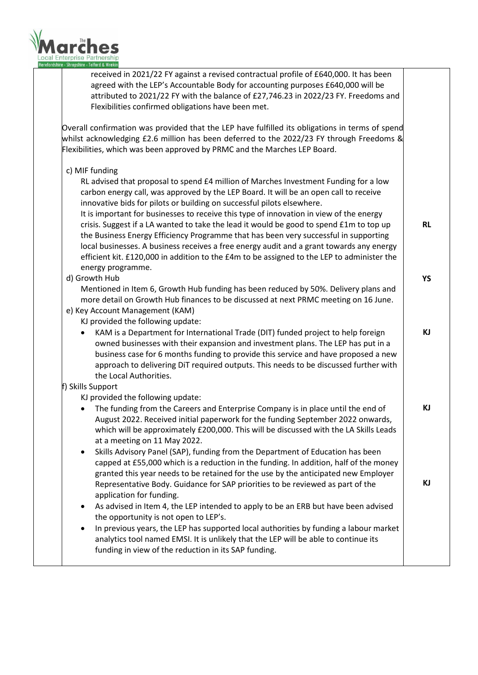

received in 2021/22 FY against a revised contractual profile of £640,000. It has been agreed with the LEP's Accountable Body for accounting purposes £640,000 will be attributed to 2021/22 FY with the balance of £27,746.23 in 2022/23 FY. Freedoms and Flexibilities confirmed obligations have been met.

Overall confirmation was provided that the LEP have fulfilled its obligations in terms of spend whilst acknowledging £2.6 million has been deferred to the 2022/23 FY through Freedoms & Flexibilities, which was been approved by PRMC and the Marches LEP Board.

c) MIF funding

RL advised that proposal to spend £4 million of Marches Investment Funding for a low carbon energy call, was approved by the LEP Board. It will be an open call to receive innovative bids for pilots or building on successful pilots elsewhere.

It is important for businesses to receive this type of innovation in view of the energy crisis. Suggest if a LA wanted to take the lead it would be good to spend £1m to top up the Business Energy Efficiency Programme that has been very successful in supporting local businesses. A business receives a free energy audit and a grant towards any energy efficient kit. £120,000 in addition to the £4m to be assigned to the LEP to administer the energy programme.

**RL**

**YS**

**KJ**

**KJ**

**KJ**

d) Growth Hub

Mentioned in Item 6, Growth Hub funding has been reduced by 50%. Delivery plans and more detail on Growth Hub finances to be discussed at next PRMC meeting on 16 June. e) Key Account Management (KAM)

- KJ provided the following update:
	- KAM is a Department for International Trade (DIT) funded project to help foreign owned businesses with their expansion and investment plans. The LEP has put in a business case for 6 months funding to provide this service and have proposed a new approach to delivering DiT required outputs. This needs to be discussed further with the Local Authorities.

## f) Skills Support

KJ provided the following update:

- The funding from the Careers and Enterprise Company is in place until the end of August 2022. Received initial paperwork for the funding September 2022 onwards, which will be approximately £200,000. This will be discussed with the LA Skills Leads at a meeting on 11 May 2022.
- Skills Advisory Panel (SAP), funding from the Department of Education has been capped at £55,000 which is a reduction in the funding. In addition, half of the money granted this year needs to be retained for the use by the anticipated new Employer Representative Body. Guidance for SAP priorities to be reviewed as part of the application for funding.
- As advised in Item 4, the LEP intended to apply to be an ERB but have been advised the opportunity is not open to LEP's.
- In previous years, the LEP has supported local authorities by funding a labour market analytics tool named EMSI. It is unlikely that the LEP will be able to continue its funding in view of the reduction in its SAP funding.